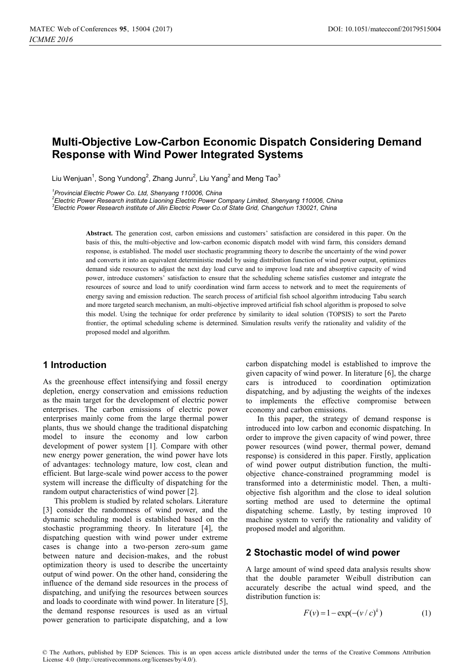# **Multi-Objective Low-Carbon Economic Dispatch Considering Demand Response with Wind Power Integrated Systems**

Liu Wenjuan $^1$ , Song Yundong $^2$ , Zhang Junru $^2$ , Liu Yang $^2$ and Meng Tao $^3$ 

*1 Provincial Electric Power Co. Ltd, Shenyang 110006, China* 

<sup>2</sup> Electric Power Research institute Liaoning Electric Power Company Limited, Shenyang 110006, China<br><sup>3</sup> Electric Power Bessersh institute of Jilin Electric Power Co.of State Crid, Changshun 120021, China *Electric Power Research institute of Jilin Electric Power Co.of State Grid, Changchun 130021, China* 

> **Abstract.** The generation cost, carbon emissions and customers' satisfaction are considered in this paper. On the basis of this, the multi-objective and low-carbon economic dispatch model with wind farm, this considers demand response, is established. The model user stochastic programming theory to describe the uncertainty of the wind power and converts it into an equivalent deterministic model by using distribution function of wind power output, optimizes demand side resources to adjust the next day load curve and to improve load rate and absorptive capacity of wind power, introduce customers' satisfaction to ensure that the scheduling scheme satisfies customer and integrate the resources of source and load to unify coordination wind farm access to network and to meet the requirements of energy saving and emission reduction. The search process of artificial fish school algorithm introducing Tabu search and more targeted search mechanism, an multi-objective improved artificial fish school algorithm is proposed to solve this model. Using the technique for order preference by similarity to ideal solution (TOPSIS) to sort the Pareto frontier, the optimal scheduling scheme is determined. Simulation results verify the rationality and validity of the proposed model and algorithm.

# **1 Introduction**

As the greenhouse effect intensifying and fossil energy depletion, energy conservation and emissions reduction as the main target for the development of electric power enterprises. The carbon emissions of electric power enterprises mainly come from the large thermal power plants, thus we should change the traditional dispatching model to insure the economy and low carbon development of power system [1]. Compare with other new energy power generation, the wind power have lots of advantages: technology mature, low cost, clean and efficient. But large-scale wind power access to the power system will increase the difficulty of dispatching for the random output characteristics of wind power [2].

This problem is studied by related scholars. Literature [3] consider the randomness of wind power, and the dynamic scheduling model is established based on the stochastic programming theory. In literature [4], the dispatching question with wind power under extreme cases is change into a two-person zero-sum game between nature and decision-makes, and the robust optimization theory is used to describe the uncertainty output of wind power. On the other hand, considering the influence of the demand side resources in the process of dispatching, and unifying the resources between sources and loads to coordinate with wind power. In literature [5], the demand response resources is used as an virtual power generation to participate dispatching, and a low

carbon dispatching model is established to improve the given capacity of wind power. In literature [6], the charge cars is introduced to coordination optimization dispatching, and by adjusting the weights of the indexes to implements the effective compromise between economy and carbon emissions.

In this paper, the strategy of demand response is introduced into low carbon and economic dispatching. In order to improve the given capacity of wind power, three power resources (wind power, thermal power, demand response) is considered in this paper. Firstly, application of wind power output distribution function, the multiobjective chance-constrained programming model is transformed into a deterministic model. Then, a multiobjective fish algorithm and the close to ideal solution sorting method are used to determine the optimal dispatching scheme. Lastly, by testing improved 10 machine system to verify the rationality and validity of proposed model and algorithm.

# **2 Stochastic model of wind power**

A large amount of wind speed data analysis results show that the double parameter Weibull distribution can accurately describe the actual wind speed, and the distribution function is:

$$
F(v) = 1 - \exp(-(v/c)^k)
$$
 (1)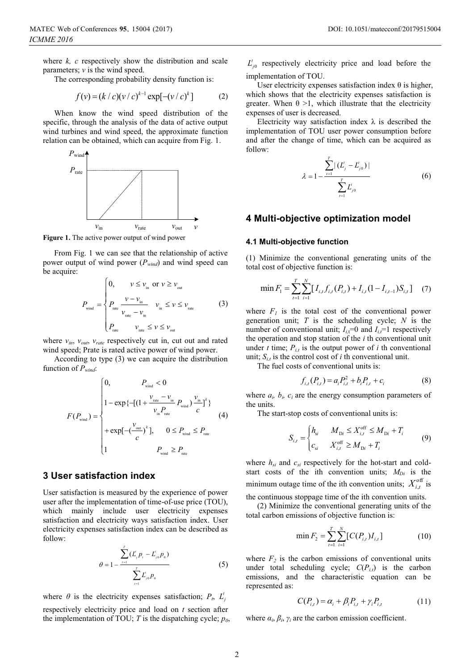where *k, c* respectively show the distribution and scale parameters;  $\nu$  is the wind speed.

The corresponding probability density function is:

$$
f(v) = (k/c)(v/c)^{k-1} \exp[-(v/c)^{k}]
$$
 (2)

When know the wind speed distribution of the specific, through the analysis of the data of active output wind turbines and wind speed, the approximate function relation can be obtained, which can acquire from Fig. 1.



**Figure 1.** The active power output of wind power

From Fig. 1 we can see that the relationship of active power output of wind power (*Pwind*) and wind speed can be acquire:

$$
P_{\text{wind}} = \begin{cases} 0, & \text{if } \nu \leq \nu_{\text{in}} \text{ or } \nu \geq \nu_{\text{out}} \\ P_{\text{rate}} \frac{\nu - \nu_{\text{in}}}{\nu_{\text{rate}} - \nu_{\text{in}}} & \text{if } \nu \leq \nu_{\text{rate}} \\ P_{\text{rate}} \frac{\nu_{\text{rate}} - \nu_{\text{in}}}{\nu_{\text{rate}}} & \text{if } \nu \leq \nu_{\text{out}} \end{cases} \tag{3}
$$

where  $v_{in}$ ,  $v_{out}$ ,  $v_{rate}$  respectively cut in, cut out and rated wind speed; Prate is rated active power of wind power.

According to type (3) we can acquire the distribution function of *Pwind*:

$$
F(P_{\text{wind}}) = \begin{cases} 0, & P_{\text{wind}} < 0 \\ 1 - \exp\left\{-\left[(1 + \frac{v_{\text{rate}} - v_{\text{in}}}{v_{\text{in}} P_{\text{wind}}}\right) \frac{v_{\text{in}}}{c}\right]^k \right\} \\ + \exp\left[-\left(\frac{v_{\text{out}}}{c}\right)^k \right], & 0 \le P_{\text{wind}} \le P_{\text{rate}} \\ 1 & P_{\text{wind}} \ge P_{\text{rate}} \end{cases}
$$
(4)

## **3 User satisfaction index**

User satisfaction is measured by the experience of power user after the implementation of time-of-use price (TOU), which mainly include user electricity expenses satisfaction and electricity ways satisfaction index. User electricity expenses satisfaction index can be described as follow:

$$
\theta = 1 - \frac{\sum_{i=1}^{T} (L'_{j} p_{i} - L'_{j0} p_{0})}{\sum_{i=1}^{T} L'_{j0} p_{0}}
$$
\n(5)

where  $\theta$  is the electricity expenses satisfaction;  $P_t$ ,  $L'_i$ respectively electricity price and load on *t* section after the implementation of TOU;  $T$  is the dispatching cycle;  $p_0$ ,

 $L_{j0}^{t}$  respectively electricity price and load before the implementation of TOU.

User electricity expenses satisfaction index  $\theta$  is higher, which shows that the electricity expenses satisfaction is greater. When  $\theta > 1$ , which illustrate that the electricity expenses of user is decreased.

Electricity way satisfaction index  $\lambda$  is described the implementation of TOU user power consumption before and after the change of time, which can be acquired as follow:

$$
\lambda = 1 - \frac{\sum_{i=1}^{T} |(L'_{j} - L'_{j0})|}{\sum_{i=1}^{T} L'_{j0}}
$$
 (6)

#### **4 Multi-objective optimization model**

#### **4.1 Multi-objective function**

(1) Minimize the conventional generating units of the total cost of objective function is:

$$
\min F_{1} = \sum_{t=1}^{T} \sum_{i=1}^{N} [I_{i,t} f_{i,t} (P_{i,t}) + I_{i,t} (1 - I_{i,t-1}) S_{i,t}] \quad (7)
$$

where  $F_1$  is the total cost of the conventional power generation unit; *T* is the scheduling cycle; *N* is the number of conventional unit;  $I_{i,t}=0$  and  $I_{i,t}=1$  respectively the operation and stop station of the *i* th conventional unit under *t* time;  $P_{i,t}$  is the output power of *i* th conventional unit;  $S_{i,t}$  is the control cost of *i* th conventional unit.

The fuel costs of conventional units is:

$$
f_{i,t}(P_{i,t}) = a_i P_{i,t}^2 + b_i P_{i,t} + c_i
$$
 (8)

where  $a_i$ ,  $b_i$ ,  $c_i$  are the energy consumption parameters of the units.

The start-stop costs of conventional units is:

$$
S_{i,t} = \begin{cases} h_{si} & M_{Di} \le X_{i,t}^{\text{off}} \le M_{Di} + T_i \\ c_{si} & X_{i,t}^{\text{off}} \ge M_{Di} + T_i \end{cases}
$$
(9)

where  $h_{si}$  and  $c_{si}$  respectively for the hot-start and coldstart costs of the ith convention units;  $M_{Di}$  is the minimum outage time of the ith convention units;  $X_{i,t}^{\text{off}}$  is

the continuous stoppage time of the ith convention units. (2) Minimize the conventional generating units of the

total carbon emissions of objective function is:

$$
\min F_2 = \sum_{t=1}^{T} \sum_{i=1}^{N} [C(P_{i,t}) I_{i,t}] \tag{10}
$$

where  $F_2$  is the carbon emissions of conventional units under total scheduling cycle;  $C(P_{i,t})$  is the carbon emissions, and the characteristic equation can be represented as:

$$
C(P_{i,t}) = \alpha_i + \beta_i P_{i,t} + \gamma_i P_{i,t} \tag{11}
$$

where  $\alpha_i$ ,  $\beta_i$ ,  $\gamma_i$  are the carbon emission coefficient.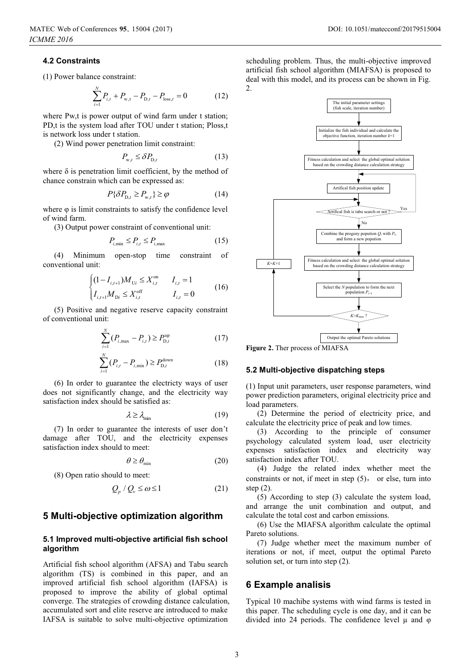## **4.2 Constraints**

(1) Power balance constraint:

$$
\sum_{i=1}^{N} P_{i,t} + P_{w,t} - P_{D,t} - P_{loss,t} = 0 \tag{12}
$$

where Pw,t is power output of wind farm under t station; PD,t is the system load after TOU under t station; Ploss,t is network loss under t station.

(2) Wind power penetration limit constraint:

$$
P_{\mathbf{w},t} \le \delta P_{\mathbf{D},t} \tag{13}
$$

where  $\delta$  is penetration limit coefficient, by the method of chance constrain which can be expressed as:

$$
P\{\delta P_{\mathrm{D},t} \ge P_{\mathrm{w},t}\} \ge \varphi \tag{14}
$$

where φ is limit constraints to satisfy the confidence level of wind farm.

(3) Output power constraint of conventional unit:

$$
P_{i,\min} \le P_{i,t} \le P_{i,\max} \tag{15}
$$

(4) Minimum open-stop time constraint of conventional unit:

$$
\begin{cases} (1 - I_{i,t+1})M_{U_i} \le X_{i,t}^{\text{on}} & I_{i,t} = 1\\ I_{i,t+1}M_{Di} \le X_{i,t}^{\text{off}} & I_{i,t} = 0 \end{cases}
$$
(16)

(5) Positive and negative reserve capacity constraint of conventional unit:

$$
\sum_{i=1}^{N} (P_{i,\max} - P_{i,t}) \ge P_{\mathcal{D},t}^{\text{up}} \tag{17}
$$

$$
\sum_{i=1}^{N} (P_{i,t} - P_{i,\min}) \ge P_{D,t}^{\text{down}} \tag{18}
$$

(6) In order to guarantee the electricty ways of user does not significantly change, and the electricity way satisfaction index should be satisfied as:

$$
\lambda \ge \lambda_{\min} \tag{19}
$$

(7) In order to guarantee the interests of user don't damage after TOU, and the electricity expenses satisfaction index should to meet:

$$
\theta \ge \theta_{\min} \tag{20}
$$

(8) Open ratio should to meet:

$$
Q_p / Q_v \le \omega \le 1 \tag{21}
$$

### **5 Multi-objective optimization algorithm**

#### **5.1 Improved multi-objective artificial fish school algorithm**

Artificial fish school algorithm (AFSA) and Tabu search algorithm (TS) is combined in this paper, and an improved artificial fish school algorithm (IAFSA) is proposed to improve the ability of global optimal converge. The strategies of crowding distance calculation, accumulated sort and elite reserve are introduced to make IAFSA is suitable to solve multi-objective optimization

scheduling problem. Thus, the multi-objective improved artificial fish school algorithm (MIAFSA) is proposed to deal with this model, and its process can be shown in Fig. 2.



**Figure 2.** Ther process of MIAFSA

#### **5.2 Multi-objective dispatching steps**

(1) Input unit parameters, user response parameters, wind power prediction parameters, original electricity price and load parameters.

(2) Determine the period of electricity price, and calculate the electricity price of peak and low times.

(3) According to the principle of consumer psychology calculated system load, user electricity expenses satisfaction index and electricity way satisfaction index after TOU.

(4) Judge the related index whether meet the constraints or not, if meet in step  $(5)$ , or else, turn into step (2).

(5) According to step (3) calculate the system load, and arrange the unit combination and output, and calculate the total cost and carbon emissions.

(6) Use the MIAFSA algorithm calculate the optimal Pareto solutions.

(7) Judge whether meet the maximum number of iterations or not, if meet, output the optimal Pareto solution set, or turn into step (2).

### **6 Example analisis**

Typical 10 machibe systems with wind farms is tested in this paper. The scheduling cycle is one day, and it can be divided into 24 periods. The confidence level  $\mu$  and φ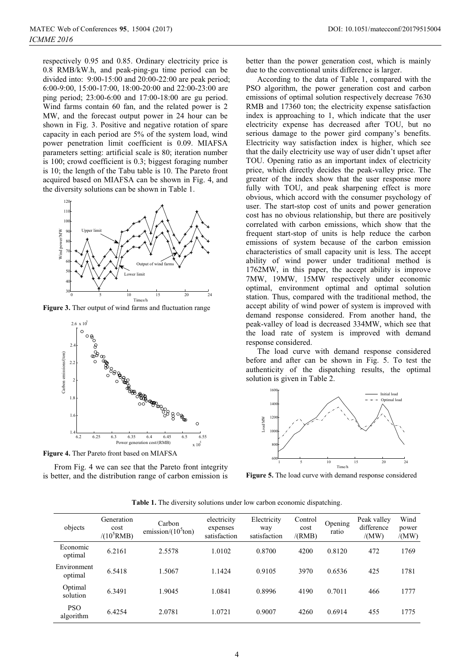respectively 0.95 and 0.85. Ordinary electricity price is 0.8 RMB/kW.h, and peak-ping-gu time period can be divided into: 9:00-15:00 and 20:00-22:00 are peak period; 6:00-9:00, 15:00-17:00, 18:00-20:00 and 22:00-23:00 are ping period; 23:00-6:00 and 17:00-18:00 are gu period. Wind farms contain 60 fan, and the related power is 2 MW, and the forecast output power in 24 hour can be shown in Fig. 3. Positive and negative rotation of spare capacity in each period are 5% of the system load, wind power penetration limit coefficient is 0.09. MIAFSA parameters setting: artificial scale is 80; iteration number is 100; crowd coefficient is 0.3; biggest foraging number is 10; the length of the Tabu table is 10. The Pareto front acquired based on MIAFSA can be shown in Fig. 4, and the diversity solutions can be shown in Table 1.



**Figure 3.** Ther output of wind farms and fluctuation range



**Figure 4.** Ther Pareto front based on MIAFSA

From Fig. 4 we can see that the Pareto front integrity is better, and the distribution range of carbon emission is better than the power generation cost, which is mainly due to the conventional units difference is larger.

According to the data of Table 1, compared with the PSO algorithm, the power generation cost and carbon emissions of optimal solution respectively decrease 7630 RMB and 17360 ton; the electricity expense satisfaction index is approaching to 1, which indicate that the user electricity expense has decreased after TOU, but no serious damage to the power gird company's benefits. Electricity way satisfaction index is higher, which see that the daily electricity use way of user didn't upset after TOU. Opening ratio as an important index of electricity price, which directly decides the peak-valley price. The greater of the index show that the user response more fully with TOU, and peak sharpening effect is more obvious, which accord with the consumer psychology of user. The start-stop cost of units and power generation cost has no obvious relationship, but there are positively correlated with carbon emissions, which show that the frequent start-stop of units is help reduce the carbon emissions of system because of the carbon emission characteristics of small capacity unit is less. The accept ability of wind power under traditional method is 1762MW, in this paper, the accept ability is improve 7MW, 19MW, 15MW respectively under economic optimal, environment optimal and optimal solution station. Thus, compared with the traditional method, the accept ability of wind power of system is improved with demand response considered. From another hand, the peak-valley of load is decreased 334MW, which see that the load rate of system is improved with demand response considered.

The load curve with demand response considered before and after can be shown in Fig. 5. To test the authenticity of the dispatching results, the optimal solution is given in Table 2.



**Figure 5.** The load curve with demand response considered

|            | <b>Table 1.</b> The diversity solutions under low carbon economic dispatching. |                                                        |  |  |
|------------|--------------------------------------------------------------------------------|--------------------------------------------------------|--|--|
| Generation | Carbon                                                                         | electricity Electricity Control <sub>Opening</sub> Pea |  |  |

| objects                 | Generation<br>cost<br>$/(10^5$ RMB) | Carbon<br>emission/ $(10^5$ ton) | electricity<br>expenses<br>satisfaction | Electricity<br>way<br>satisfaction | Control<br>cost<br>/(RMB) | Opening<br>ratio | Peak valley<br>difference<br>/(MW) | Wind<br>power<br>/(MW) |
|-------------------------|-------------------------------------|----------------------------------|-----------------------------------------|------------------------------------|---------------------------|------------------|------------------------------------|------------------------|
| Economic<br>optimal     | 6.2161                              | 2.5578                           | 1.0102                                  | 0.8700                             | 4200                      | 0.8120           | 472                                | 1769                   |
| Environment<br>optimal  | 6.5418                              | 1.5067                           | 1.1424                                  | 0.9105                             | 3970                      | 0.6536           | 425                                | 1781                   |
| Optimal<br>solution     | 6.3491                              | 1.9045                           | 1.0841                                  | 0.8996                             | 4190                      | 0.7011           | 466                                | 1777                   |
| <b>PSO</b><br>algorithm | 6.4254                              | 2.0781                           | 1.0721                                  | 0.9007                             | 4260                      | 0.6914           | 455                                | 1775                   |